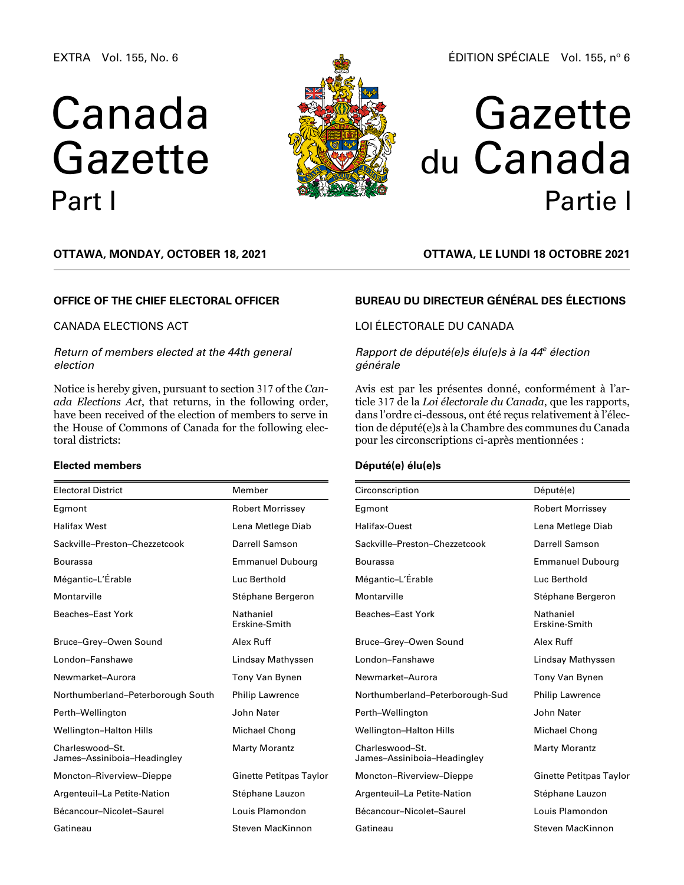EXTRA Vol. 155, No. 6

# Canada Gazette Part I



# Gazette du Canada Partie I

**OTTAWA, Monday, October 18, 2021**

## **OFFICE OF THE CHIEF ELECTORAL OFFICER**

### CANADA ELECTIONS ACT

### *Return of members elected at the 44th general election*

Notice is hereby given, pursuant to section 317 of the *Canada Elections Act*, that returns, in the following order, have been received of the election of members to serve in the House of Commons of Canada for the following electoral districts:

#### **Elected members**

| <b>Electoral District</b>                      | Member                     |
|------------------------------------------------|----------------------------|
| Egmont                                         | <b>Robert Morrissey</b>    |
| Halifax West                                   | Lena Metlege Diab          |
| Sackville-Preston-Chezzetcook                  | Darrell Samson             |
| <b>Bourassa</b>                                | <b>Emmanuel Dubourg</b>    |
| Mégantic-L'Érable                              | Luc Berthold               |
| Montarville                                    | Stéphane Bergeron          |
| <b>Beaches-East York</b>                       | Nathaniel<br>Erskine-Smith |
| Bruce-Grey-Owen Sound                          | Alex Ruff                  |
| London-Fanshawe                                | Lindsay Mathyssen          |
| Newmarket-Aurora                               | Tony Van Bynen             |
| Northumberland-Peterborough South              | <b>Philip Lawrence</b>     |
| Perth-Wellington                               | John Nater                 |
| <b>Wellington-Halton Hills</b>                 | Michael Chong              |
| Charleswood-St.<br>James-Assiniboia-Headingley | <b>Marty Morantz</b>       |
| Moncton-Riverview-Dieppe                       | Ginette Petitpas Taylor    |
| Argenteuil-La Petite-Nation                    | Stéphane Lauzon            |
| Bécancour-Nicolet-Saurel                       | Louis Plamondon            |
| Gatineau                                       | Steven MacKinnon           |

**OTTAWA, LE lundi 18 octobre 2021**

# **BUREAU DU DIRECTEUR GÉNÉRAL DES ÉLECTIONS**

# LOI ÉLECTORALE DU CANADA

### *Rapport de député(e)s élu(e)s à la 44e élection générale*

Avis est par les présentes donné, conformément à l'article 317 de la *Loi électorale du Canada*, que les rapports, dans l'ordre ci-dessous, ont été reçus relativement à l'élection de député(e)s à la Chambre des communes du Canada pour les circonscriptions ci-après mentionnées :

### **Député(e) élu(e)s**

| Circonscription                                | Député(e)                  |
|------------------------------------------------|----------------------------|
| Egmont                                         | <b>Robert Morrissey</b>    |
| Halifax-Ouest                                  | Lena Metlege Diab          |
| Sackville-Preston-Chezzetcook                  | Darrell Samson             |
| Bourassa                                       | <b>Emmanuel Dubourg</b>    |
| Mégantic-L'Érable                              | Luc Berthold               |
| Montarville                                    | Stéphane Bergeron          |
| <b>Beaches-East York</b>                       | Nathaniel<br>Erskine-Smith |
| Bruce-Grey-Owen Sound                          | Alex Ruff                  |
| London-Fanshawe                                | Lindsay Mathyssen          |
| Newmarket-Aurora                               | Tony Van Bynen             |
| Northumberland-Peterborough-Sud                | <b>Philip Lawrence</b>     |
| Perth-Wellington                               | John Nater                 |
| <b>Wellington-Halton Hills</b>                 | Michael Chong              |
| Charleswood-St.<br>James-Assiniboia-Headingley | <b>Marty Morantz</b>       |
| Moncton-Riverview-Dieppe                       | Ginette Petitpas Taylor    |
| Argenteuil-La Petite-Nation                    | Stéphane Lauzon            |
| Bécancour-Nicolet-Saurel                       | Louis Plamondon            |
| Gatineau                                       | Steven MacKinnon           |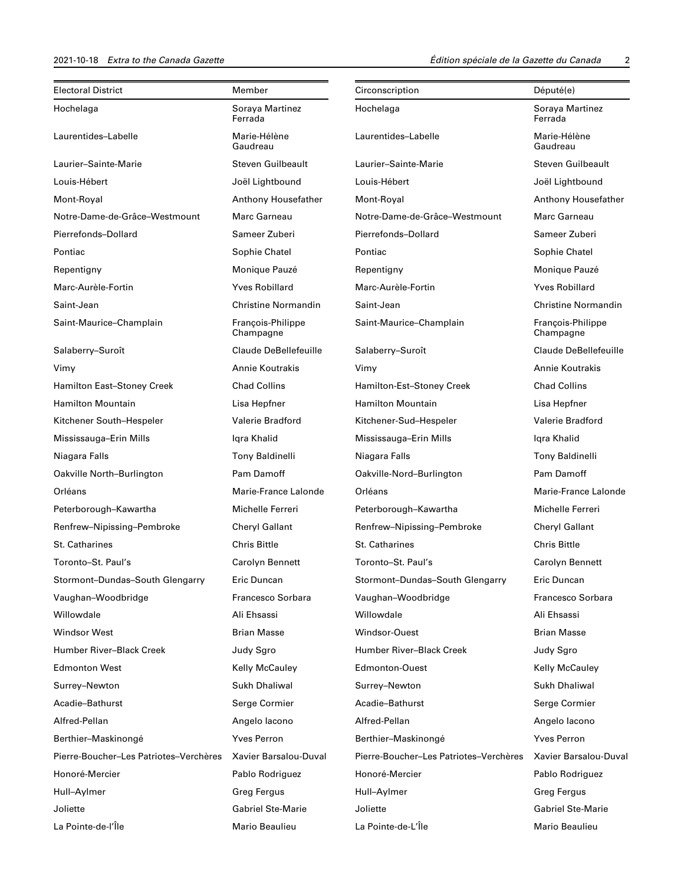| <b>Electoral District</b>              | Member                         | Circonscription                        | Député(e)                      |
|----------------------------------------|--------------------------------|----------------------------------------|--------------------------------|
| Hochelaga                              | Soraya Martinez<br>Ferrada     | Hochelaga                              | Soraya Martinez<br>Ferrada     |
| Laurentides-Labelle                    | Marie-Hélène<br>Gaudreau       | Laurentides-Labelle                    | Marie-Hélène<br>Gaudreau       |
| Laurier-Sainte-Marie                   | Steven Guilbeault              | Laurier-Sainte-Marie                   | Steven Guilbeault              |
| Louis-Hébert                           | Joël Lightbound                | Louis-Hébert                           | Joël Lightbound                |
| Mont-Royal                             | Anthony Housefather            | Mont-Royal                             | Anthony Housefather            |
| Notre-Dame-de-Grâce-Westmount          | <b>Marc Garneau</b>            | Notre-Dame-de-Grâce-Westmount          | Marc Garneau                   |
| Pierrefonds-Dollard                    | Sameer Zuberi                  | Pierrefonds-Dollard                    | Sameer Zuberi                  |
| Pontiac                                | Sophie Chatel                  | Pontiac                                | Sophie Chatel                  |
| Repentigny                             | Monique Pauzé                  | Repentigny                             | Monique Pauzé                  |
| Marc-Aurèle-Fortin                     | <b>Yves Robillard</b>          | Marc-Aurèle-Fortin                     | <b>Yves Robillard</b>          |
| Saint-Jean                             | <b>Christine Normandin</b>     | Saint-Jean                             | <b>Christine Normandin</b>     |
| Saint-Maurice-Champlain                | François-Philippe<br>Champagne | Saint-Maurice-Champlain                | François-Philippe<br>Champagne |
| Salaberry-Suroît                       | Claude DeBellefeuille          | Salaberry-Suroît                       | Claude DeBellefeuille          |
| Vimy                                   | <b>Annie Koutrakis</b>         | Vimy                                   | <b>Annie Koutrakis</b>         |
| Hamilton East-Stoney Creek             | <b>Chad Collins</b>            | Hamilton-Est-Stoney Creek              | <b>Chad Collins</b>            |
| <b>Hamilton Mountain</b>               | Lisa Hepfner                   | <b>Hamilton Mountain</b>               | Lisa Hepfner                   |
| Kitchener South-Hespeler               | <b>Valerie Bradford</b>        | Kitchener-Sud-Hespeler                 | <b>Valerie Bradford</b>        |
| Mississauga-Erin Mills                 | Igra Khalid                    | Mississauga-Erin Mills                 | Igra Khalid                    |
| Niagara Falls                          | <b>Tony Baldinelli</b>         | Niagara Falls                          | <b>Tony Baldinelli</b>         |
| Oakville North-Burlington              | Pam Damoff                     | Oakville-Nord-Burlington               | Pam Damoff                     |
| Orléans                                | Marie-France Lalonde           | Orléans                                | Marie-France Lalonde           |
| Peterborough-Kawartha                  | Michelle Ferreri               | Peterborough-Kawartha                  | Michelle Ferreri               |
| Renfrew-Nipissing-Pembroke             | <b>Cheryl Gallant</b>          | Renfrew-Nipissing-Pembroke             | <b>Cheryl Gallant</b>          |
| St. Catharines                         | <b>Chris Bittle</b>            | St. Catharines                         | <b>Chris Bittle</b>            |
| Toronto-St. Paul's                     | Carolyn Bennett                | Toronto-St. Paul's                     | Carolyn Bennett                |
| Stormont-Dundas-South Glengarry        | Eric Duncan                    | Stormont-Dundas-South Glengarry        | Eric Duncan                    |
| Vaughan-Woodbridge                     | Francesco Sorbara              | Vaughan-Woodbridge                     | Francesco Sorbara              |
| Willowdale                             | Ali Ehsassi                    | Willowdale                             | Ali Ehsassi                    |
| Windsor West                           | <b>Brian Masse</b>             | Windsor-Ouest                          | <b>Brian Masse</b>             |
| Humber River-Black Creek               | Judy Sgro                      | Humber River-Black Creek               | Judy Sgro                      |
| <b>Edmonton West</b>                   | Kelly McCauley                 | <b>Edmonton-Ouest</b>                  | <b>Kelly McCauley</b>          |
| Surrey-Newton                          | Sukh Dhaliwal                  | Surrey-Newton                          | Sukh Dhaliwal                  |
| Acadie-Bathurst                        | Serge Cormier                  | Acadie-Bathurst                        | Serge Cormier                  |
| Alfred-Pellan                          | Angelo lacono                  | Alfred-Pellan                          | Angelo lacono                  |
| Berthier-Maskinongé                    | <b>Yves Perron</b>             | Berthier-Maskinongé                    | <b>Yves Perron</b>             |
| Pierre-Boucher-Les Patriotes-Verchères | Xavier Barsalou-Duval          | Pierre-Boucher-Les Patriotes-Verchères | Xavier Barsalou-Duval          |
| Honoré-Mercier                         | Pablo Rodriguez                | Honoré-Mercier                         | Pablo Rodriguez                |
| Hull-Aylmer                            | <b>Greg Fergus</b>             | Hull-Aylmer                            | <b>Greg Fergus</b>             |
| Joliette                               | <b>Gabriel Ste-Marie</b>       | Joliette                               | <b>Gabriel Ste-Marie</b>       |
| La Pointe-de-l'Île                     | Mario Beaulieu                 | La Pointe-de-L'Île                     | Mario Beaulieu                 |